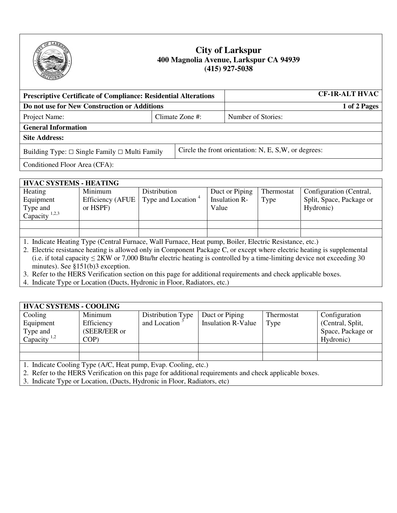

## **City of Larkspur 400 Magnolia Avenue, Larkspur CA 94939 (415) 927-5038**

| <b>Prescriptive Certificate of Compliance: Residential Alterations</b> |                 |                                                       | <b>CF-1R-ALT HVAC</b> |              |
|------------------------------------------------------------------------|-----------------|-------------------------------------------------------|-----------------------|--------------|
| Do not use for New Construction or Additions                           |                 |                                                       |                       | 1 of 2 Pages |
| Project Name:                                                          | Climate Zone #: |                                                       | Number of Stories:    |              |
| <b>General Information</b>                                             |                 |                                                       |                       |              |
| <b>Site Address:</b>                                                   |                 |                                                       |                       |              |
| Building Type: $\Box$ Single Family $\Box$ Multi Family                |                 | Circle the front orientation: N, E, S, W, or degrees: |                       |              |
| Conditioned Floor Area (CFA):                                          |                 |                                                       |                       |              |

## **HVAC SYSTEMS - HEATING**

| Heating                   | Minimum  | Distribution                                            | Duct or Piping | Thermostat | Configuration (Central,  |
|---------------------------|----------|---------------------------------------------------------|----------------|------------|--------------------------|
| Equipment                 |          | Efficiency (AFUE $\vert$ Type and Location <sup>4</sup> | Insulation R-  | Type       | Split, Space, Package or |
| Type and                  | or HSPF) |                                                         | Value          |            | Hydronic)                |
| Capacity <sup>1,2,3</sup> |          |                                                         |                |            |                          |
|                           |          |                                                         |                |            |                          |
|                           |          |                                                         |                |            |                          |

1. Indicate Heating Type (Central Furnace, Wall Furnace, Heat pump, Boiler, Electric Resistance, etc.)

2. Electric resistance heating is allowed only in Component Package C, or except where electric heating is supplemental (i.e. if total capacity  $\leq 2KW$  or 7,000 Btu/hr electric heating is controlled by a time-limiting device not exceeding 30 minutes). See §151(b)3 exception.

3. Refer to the HERS Verification section on this page for additional requirements and check applicable boxes.

4. Indicate Type or Location (Ducts, Hydronic in Floor, Radiators, etc.)

| <b>HVAC SYSTEMS - COOLING</b>                  |              |                           |                           |            |                   |
|------------------------------------------------|--------------|---------------------------|---------------------------|------------|-------------------|
| Cooling                                        | Minimum      | Distribution Type         | Duct or Piping            | Thermostat | Configuration     |
| Equipment                                      | Efficiency   | and Location <sup>3</sup> | <b>Insulation R-Value</b> | Type       | (Central, Split,  |
| Type and                                       | (SEER/EER or |                           |                           |            | Space, Package or |
| Capacity <sup>1,2</sup>                        | COP          |                           |                           |            | Hydronic)         |
|                                                |              |                           |                           |            |                   |
|                                                |              |                           |                           |            |                   |
| $\sim$<br>(117)<br>$\sqrt{2}$<br>$\sim$ $\sim$ |              |                           |                           |            |                   |

1. Indicate Cooling Type (A/C, Heat pump, Evap. Cooling, etc.)

- 2. Refer to the HERS Verification on this page for additional requirements and check applicable boxes.
- 3. Indicate Type or Location, (Ducts, Hydronic in Floor, Radiators, etc)